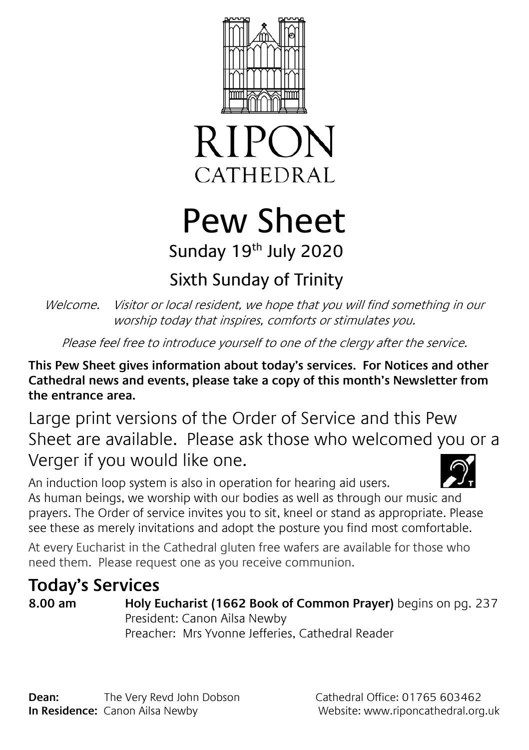



# Pew Sheet Sunday 19th July 2020

## Sixth Sunday of Trinity

Welcome. Visitor or local resident, we hope that you will find something in our worship today that inspires, comforts or stimulates you.

Please feel free to introduce yourself to one of the clergy after the service.

**This Pew Sheet gives information about today's services. For Notices and other Cathedral news and events, please take a copy of this month's Newsletter from the entrance area.** 

Large print versions of the Order of Service and this Pew Sheet are available. Please ask those who welcomed you or a Verger if you would like one.

An induction loop system is also in operation for hearing aid users. As human beings, we worship with our bodies as well as through our music and prayers. The Order of service invites you to sit, kneel or stand as appropriate. Please see these as merely invitations and adopt the posture you find most comfortable.

At every Eucharist in the Cathedral gluten free wafers are available for those who need them. Please request one as you receive communion.

### **Today's Services**

**8.00 am Holy Eucharist (1662 Book of Common Prayer)** begins on pg. 237 President: Canon Ailsa Newby Preacher: Mrs Yvonne Jefferies, Cathedral Reader